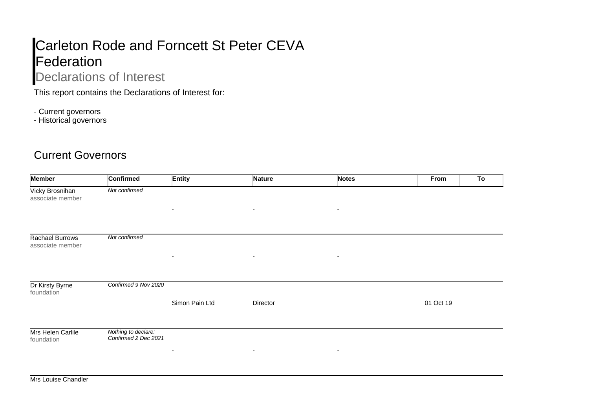## Carleton Rode and Forncett St Peter CEVA **Federation**

## Declarations of Interest

This report contains the Declarations of Interest for:

- Current governors
- Historical governors

## Current Governors

| <b>Member</b>                       | <b>Confirmed</b>                            | <b>Entity</b>            | Nature                   | <b>Notes</b>             | To<br>From |
|-------------------------------------|---------------------------------------------|--------------------------|--------------------------|--------------------------|------------|
| Vicky Brosnihan<br>associate member | Not confirmed                               |                          |                          |                          |            |
|                                     |                                             | ٠                        | $\overline{\phantom{a}}$ | $\overline{\phantom{a}}$ |            |
| Rachael Burrows<br>associate member | Not confirmed                               |                          |                          |                          |            |
|                                     |                                             | $\sim$                   | $\overline{\phantom{a}}$ | $\overline{\phantom{a}}$ |            |
| Dr Kirsty Byrne<br>foundation       | Confirmed 9 Nov 2020                        |                          |                          |                          |            |
|                                     |                                             | Simon Pain Ltd           | Director                 |                          | 01 Oct 19  |
| Mrs Helen Carlile<br>foundation     | Nothing to declare:<br>Confirmed 2 Dec 2021 |                          |                          |                          |            |
|                                     |                                             | $\overline{\phantom{a}}$ | $\overline{\phantom{a}}$ | $\overline{\phantom{a}}$ |            |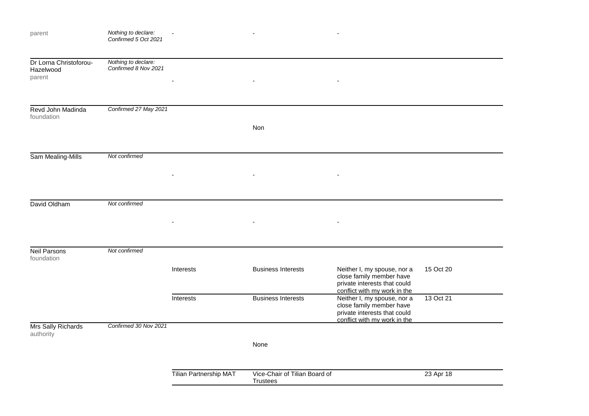| parent                                        | Nothing to declare:<br>Confirmed 5 Oct 2021 |                        |                                                  |                                                                                                                         |           |
|-----------------------------------------------|---------------------------------------------|------------------------|--------------------------------------------------|-------------------------------------------------------------------------------------------------------------------------|-----------|
| Dr Lorna Christoforou-<br>Hazelwood<br>parent | Nothing to declare:<br>Confirmed 8 Nov 2021 |                        |                                                  |                                                                                                                         |           |
| Revd John Madinda<br>foundation               | Confirmed 27 May 2021                       |                        | Non                                              |                                                                                                                         |           |
| Sam Mealing-Mills                             | Not confirmed                               |                        |                                                  |                                                                                                                         |           |
| David Oldham                                  | Not confirmed                               |                        |                                                  |                                                                                                                         |           |
| <b>Neil Parsons</b><br>foundation             | Not confirmed                               |                        |                                                  |                                                                                                                         |           |
|                                               |                                             | Interests              | <b>Business Interests</b>                        | Neither I, my spouse, nor a<br>close family member have<br>private interests that could<br>conflict with my work in the | 15 Oct 20 |
|                                               |                                             | Interests              | <b>Business Interests</b>                        | Neither I, my spouse, nor a<br>close family member have<br>private interests that could<br>conflict with my work in the | 13 Oct 21 |
| Mrs Sally Richards<br>authority               | Confirmed 30 Nov 2021                       |                        | None                                             |                                                                                                                         |           |
|                                               |                                             | Tilian Partnership MAT | Vice-Chair of Tilian Board of<br><b>Trustees</b> |                                                                                                                         | 23 Apr 18 |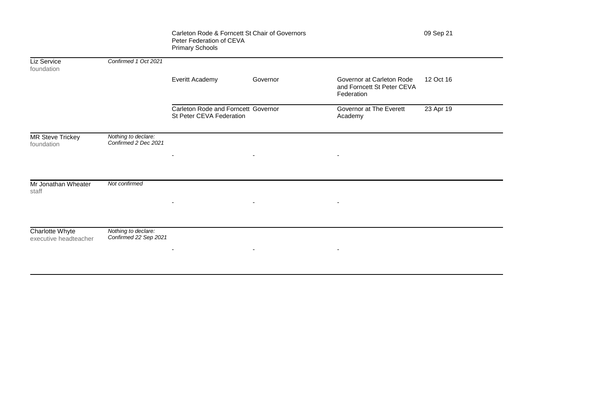|                                          |                                              | Carleton Rode & Forncett St Chair of Governors<br>Peter Federation of CEVA<br><b>Primary Schools</b> |                          |                                                                       | 09 Sep 21 |
|------------------------------------------|----------------------------------------------|------------------------------------------------------------------------------------------------------|--------------------------|-----------------------------------------------------------------------|-----------|
| Liz Service<br>foundation                | Confirmed 1 Oct 2021                         |                                                                                                      |                          |                                                                       |           |
|                                          |                                              | Everitt Academy                                                                                      | Governor                 | Governor at Carleton Rode<br>and Forncett St Peter CEVA<br>Federation | 12 Oct 16 |
|                                          |                                              | Carleton Rode and Forncett Governor<br>St Peter CEVA Federation                                      |                          | Governor at The Everett<br>Academy                                    | 23 Apr 19 |
| <b>MR Steve Trickey</b><br>foundation    | Nothing to declare:<br>Confirmed 2 Dec 2021  |                                                                                                      |                          |                                                                       |           |
|                                          |                                              | ٠                                                                                                    | $\overline{\phantom{a}}$ |                                                                       |           |
| Mr Jonathan Wheater<br>staff             | Not confirmed                                |                                                                                                      |                          |                                                                       |           |
|                                          |                                              | $\overline{\phantom{a}}$                                                                             | $\sim$                   | $\overline{\phantom{a}}$                                              |           |
| Charlotte Whyte<br>executive headteacher | Nothing to declare:<br>Confirmed 22 Sep 2021 |                                                                                                      |                          |                                                                       |           |
|                                          |                                              | ٠                                                                                                    | $\overline{\phantom{a}}$ | $\overline{\phantom{a}}$                                              |           |